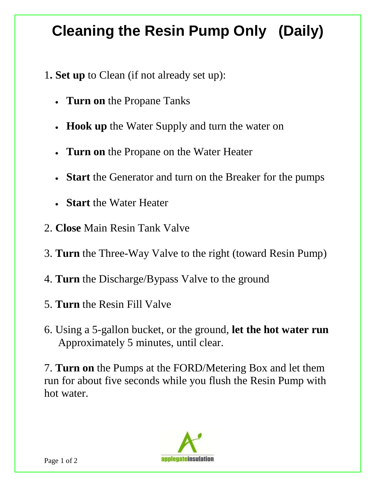## **Cleaning the Resin Pump Only (Daily)**

- 1**. Set up** to Clean (if not already set up):
	- **Turn on** the Propane Tanks
	- **Hook up** the Water Supply and turn the water on
	- **Turn on** the Propane on the Water Heater
	- **Start** the Generator and turn on the Breaker for the pumps
	- **Start** the Water Heater
- 2. **Close** Main Resin Tank Valve
- 3. **Turn** the Three-Way Valve to the right (toward Resin Pump)
- 4. **Turn** the Discharge/Bypass Valve to the ground
- 5. **Turn** the Resin Fill Valve
- 6. Using a 5-gallon bucket, or the ground, **let the hot water run**  Approximately 5 minutes, until clear.

hot water. 7. **Turn on** the Pumps at the FORD/Metering Box and let them run for about five seconds while you flush the Resin Pump with hot water.<br>Page 1 of 2